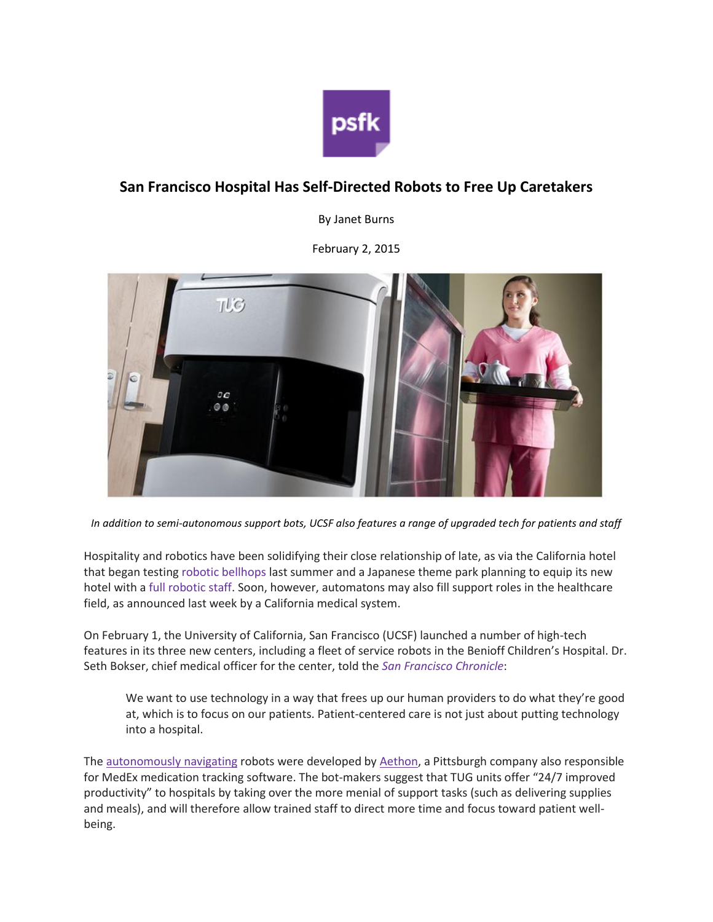

## **San Francisco Hospital Has Self-Directed Robots to Free Up Caretakers**

By Janet Burns

February 2, 2015



*In addition to semi-autonomous support bots, UCSF also features a range of upgraded tech for patients and staff*

Hospitality and robotics have been solidifying their close relationship of late, as via the California hotel that began testing robotic [bellhops](http://www.psfk.com/2014/08/california-starwood-hotel-robotic-bellhop.html) last summer and a Japanese theme park planning to equip its new hotel with a full [robotic](http://www.japantimes.co.jp/news/2015/01/28/business/huis-ten-bosch-theme-park-get-hotel-staffed-robots/#.VM5r52jF9e8) staff. Soon, however, automatons may also fill support roles in the healthcare field, as announced last week by a California medical system.

On February 1, the University of California, San Francisco (UCSF) launched a number of high-tech features in its three new centers, including a fleet of service robots in the Benioff Children's Hospital. Dr. Seth Bokser, chief medical officer for the center, told the *San [Francisco](http://www.sfchronicle.com/health/article/Robots-and-other-tech-on-display-at-new-UCSF-6049757.php#/0) Chronicle*:

We want to use technology in a way that frees up our human providers to do what they're good at, which is to focus on our patients. Patient-centered care is not just about putting technology into a hospital.

The [autonomously](http://player.vimeo.com/video/113720995?autoplay=1) navigating robots were developed by [Aethon,](http://www.aethon.com/) a Pittsburgh company also responsible for MedEx medication tracking software. The bot-makers suggest that TUG units offer "24/7 improved productivity" to hospitals by taking over the more menial of support tasks (such as delivering supplies and meals), and will therefore allow trained staff to direct more time and focus toward patient wellbeing.